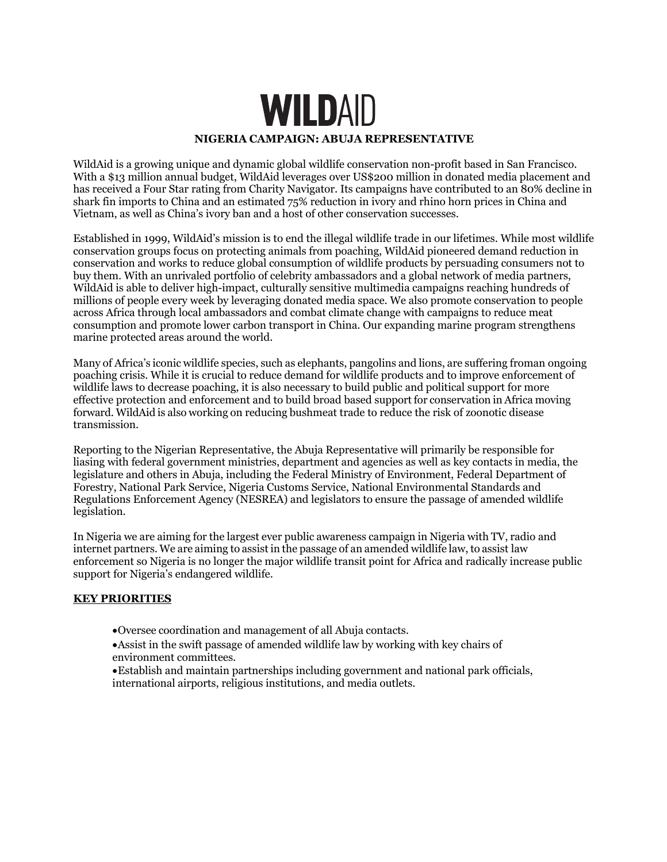# **WILDAID NIGERIA CAMPAIGN: ABUJA REPRESENTATIVE**

WildAid is a growing unique and dynamic global wildlife conservation non-profit based in San Francisco. With a \$13 million annual budget, WildAid leverages over US\$200 million in donated media placement and has received a Four Star rating from Charity Navigator. Its campaigns have contributed to an 80% decline in shark fin imports to China and an estimated 75% reduction in ivory and rhino horn prices in China and Vietnam, as well as China's ivory ban and a host of other conservation successes.

Established in 1999, WildAid's mission is to end the illegal wildlife trade in our lifetimes. While most wildlife conservation groups focus on protecting animals from poaching, WildAid pioneered demand reduction in conservation and works to reduce global consumption of wildlife products by persuading consumers not to buy them. With an unrivaled portfolio of celebrity ambassadors and a global network of media partners, WildAid is able to deliver high-impact, culturally sensitive multimedia campaigns reaching hundreds of millions of people every week by leveraging donated media space. We also promote conservation to people across Africa through local ambassadors and combat climate change with campaigns to reduce meat consumption and promote lower carbon transport in China. Our expanding marine program strengthens marine protected areas around the world.

Many of Africa's iconic wildlife species, such as elephants, pangolins and lions, are suffering froman ongoing poaching crisis. While it is crucial to reduce demand for wildlife products and to improve enforcement of wildlife laws to decrease poaching, it is also necessary to build public and political support for more effective protection and enforcement and to build broad based support for conservation in Africa moving forward. WildAid is also working on reducing bushmeat trade to reduce the risk of zoonotic disease transmission.

Reporting to the Nigerian Representative, the Abuja Representative will primarily be responsible for liasing with federal government ministries, department and agencies as well as key contacts in media, the legislature and others in Abuja, including the Federal Ministry of Environment, Federal Department of Forestry, National Park Service, Nigeria Customs Service, National Environmental Standards and Regulations Enforcement Agency (NESREA) and legislators to ensure the passage of amended wildlife legislation.

In Nigeria we are aiming for the largest ever public awareness campaign in Nigeria with TV, radio and internet partners. We are aiming to assist in the passage of an amended wildlife law, to assist law enforcement so Nigeria is no longer the major wildlife transit point for Africa and radically increase public support for Nigeria's endangered wildlife.

### **KEY PRIORITIES**

- •Oversee coordination and management of all Abuja contacts.
- •Assist in the swift passage of amended wildlife law by working with key chairs of environment committees.
- •Establish and maintain partnerships including government and national park officials, international airports, religious institutions, and media outlets.